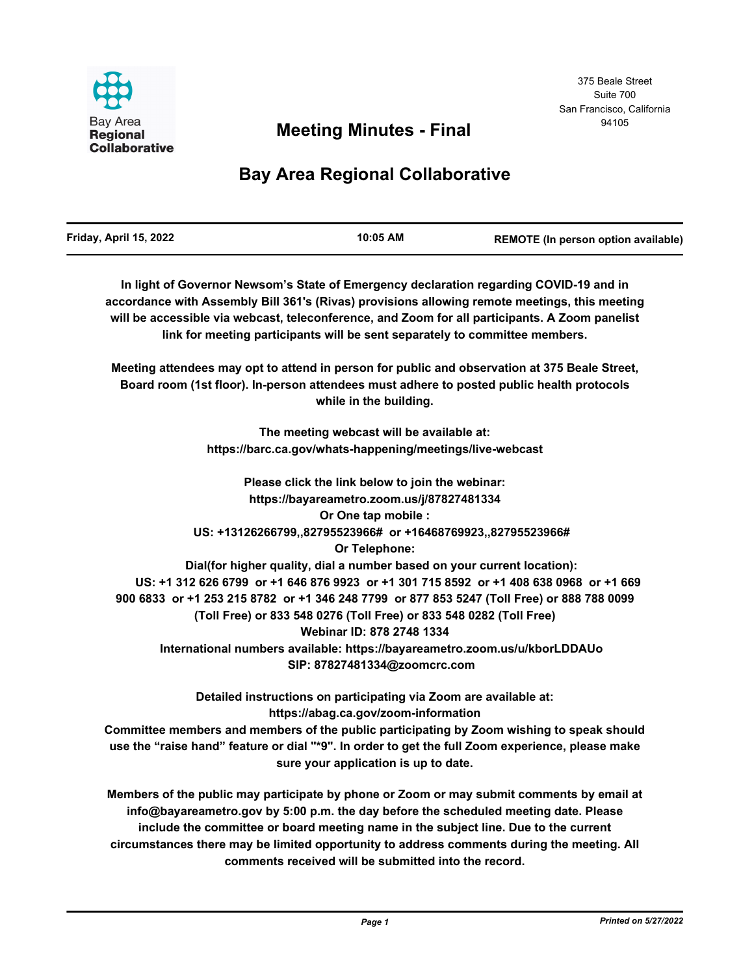

# <sup>94105</sup> **Meeting Minutes - Final**

# **Bay Area Regional Collaborative**

| Friday, April 15, 2022 | 10:05 AM | REMOTE (In person option available) |
|------------------------|----------|-------------------------------------|
|                        |          |                                     |

**In light of Governor Newsom's State of Emergency declaration regarding COVID-19 and in accordance with Assembly Bill 361's (Rivas) provisions allowing remote meetings, this meeting will be accessible via webcast, teleconference, and Zoom for all participants. A Zoom panelist link for meeting participants will be sent separately to committee members.**

**Meeting attendees may opt to attend in person for public and observation at 375 Beale Street, Board room (1st floor). In-person attendees must adhere to posted public health protocols while in the building.**

> **The meeting webcast will be available at: https://barc.ca.gov/whats-happening/meetings/live-webcast**

**Please click the link below to join the webinar: https://bayareametro.zoom.us/j/87827481334 Or One tap mobile : US: +13126266799,,82795523966# or +16468769923,,82795523966# Or Telephone: Dial(for higher quality, dial a number based on your current location): US: +1 312 626 6799 or +1 646 876 9923 or +1 301 715 8592 or +1 408 638 0968 or +1 669 900 6833 or +1 253 215 8782 or +1 346 248 7799 or 877 853 5247 (Toll Free) or 888 788 0099 (Toll Free) or 833 548 0276 (Toll Free) or 833 548 0282 (Toll Free) Webinar ID: 878 2748 1334 International numbers available: https://bayareametro.zoom.us/u/kborLDDAUo SIP: 87827481334@zoomcrc.com**

> **Detailed instructions on participating via Zoom are available at: https://abag.ca.gov/zoom-information**

**Committee members and members of the public participating by Zoom wishing to speak should use the "raise hand" feature or dial "\*9". In order to get the full Zoom experience, please make sure your application is up to date.**

**Members of the public may participate by phone or Zoom or may submit comments by email at info@bayareametro.gov by 5:00 p.m. the day before the scheduled meeting date. Please include the committee or board meeting name in the subject line. Due to the current circumstances there may be limited opportunity to address comments during the meeting. All comments received will be submitted into the record.**